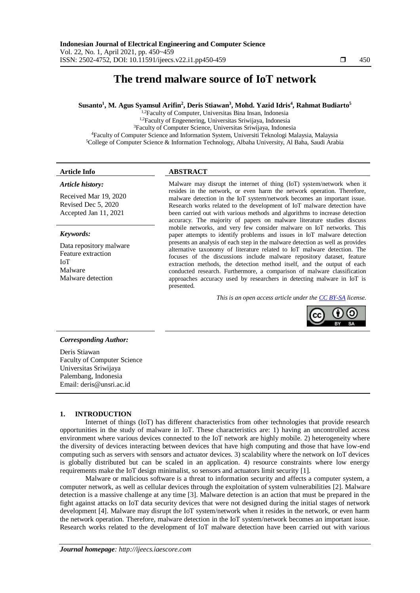# **The trend malware source of IoT network**

**Susanto<sup>1</sup> , M. Agus Syamsul Arifin<sup>2</sup> , Deris Stiawan<sup>3</sup> , Mohd. Yazid Idris<sup>4</sup> , Rahmat Budiarto<sup>5</sup>**

 $1.2$ Faculty of Computer, Universitas Bina Insan, Indonesia 1,2Faculty of Engeenering, Universitas Sriwijaya, Indonesia <sup>3</sup>Faculty of Computer Science, Universitas Sriwijaya, Indonesia <sup>4</sup>Faculty of Computer Science and Information System, Universiti Teknologi Malaysia, Malaysia <sup>5</sup>College of Computer Science & Information Technology, Albaha University, Al Baha, Saudi Arabia

### *Article history:*

Received Mar 19, 2020 Revised Dec 5, 2020 Accepted Jan 11, 2021

#### *Keywords:*

Data repository malware Feature extraction IoT Malware Malware detection

# **Article Info ABSTRACT**

Malware may disrupt the internet of thing (IoT) system/network when it resides in the network, or even harm the network operation. Therefore, malware detection in the IoT system/network becomes an important issue. Research works related to the development of IoT malware detection have been carried out with various methods and algorithms to increase detection accuracy. The majority of papers on malware literature studies discuss mobile networks, and very few consider malware on IoT networks. This paper attempts to identify problems and issues in IoT malware detection presents an analysis of each step in the malware detection as well as provides alternative taxonomy of literature related to IoT malware detection. The focuses of the discussions include malware repository dataset, feature extraction methods, the detection method itself, and the output of each conducted research. Furthermore, a comparison of malware classification approaches accuracy used by researchers in detecting malware in IoT is presented.

*This is an open access article under the [CC BY-SA](https://creativecommons.org/licenses/by-sa/4.0/) license.*



# *Corresponding Author:*

Deris Stiawan Faculty of Computer Science Universitas Sriwijaya Palembang, Indonesia Email: [deris@unsri.ac.id](mailto:deris@unsri.ac.id)

# **1. INTRODUCTION**

Internet of things (IoT) has different characteristics from other technologies that provide research opportunities in the study of malware in IoT. These characteristics are: 1) having an uncontrolled access environment where various devices connected to the IoT network are highly mobile. 2) heterogeneity where the diversity of devices interacting between devices that have high computing and those that have low-end computing such as servers with sensors and actuator devices. 3) scalability where the network on IoT devices is globally distributed but can be scaled in an application. 4) resource constraints where low energy requirements make the IoT design minimalist, so sensors and actuators limit security [1].

Malware or malicious software is a threat to information security and affects a computer system, a computer network, as well as cellular devices through the exploitation of system vulnerabilities [2]. Malware detection is a massive challenge at any time [3]. Malware detection is an action that must be prepared in the fight against attacks on IoT data security devices that were not designed during the initial stages of network development [4]. Malware may disrupt the IoT system/network when it resides in the network, or even harm the network operation. Therefore, malware detection in the IoT system/network becomes an important issue. Research works related to the development of IoT malware detection have been carried out with various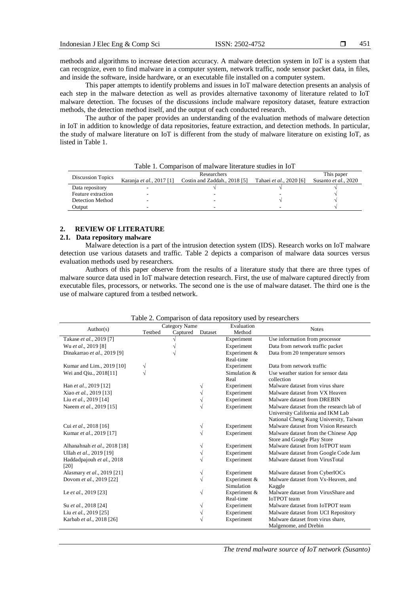methods and algorithms to increase detection accuracy. A malware detection system in IoT is a system that can recognize, even to find malware in a computer system, network traffic, node sensor packet data, in files, and inside the software, inside hardware, or an executable file installed on a computer system.

This paper attempts to identify problems and issues in IoT malware detection presents an analysis of each step in the malware detection as well as provides alternative taxonomy of literature related to IoT malware detection. The focuses of the discussions include malware repository dataset, feature extraction methods, the detection method itself, and the output of each conducted research.

The author of the paper provides an understanding of the evaluation methods of malware detection in IoT in addition to knowledge of data repositories, feature extraction, and detection methods. In particular, the study of malware literature on IoT is different from the study of malware literature on existing IoT, as listed in Table 1.

| Taoic T. Comparison of marware merature studies in IoT |                          |                              |                         |                      |  |  |  |
|--------------------------------------------------------|--------------------------|------------------------------|-------------------------|----------------------|--|--|--|
| Discussion Topics                                      |                          | This paper                   |                         |                      |  |  |  |
|                                                        | Karanja et al., 2017 [1] | Costin and Zaddah., 2018 [5] | Tahaei et al., 2020 [6] | Susanto et al., 2020 |  |  |  |
| Data repository                                        |                          |                              |                         |                      |  |  |  |
| Feature extraction                                     | -                        |                              |                         |                      |  |  |  |
| Detection Method                                       | -                        |                              |                         |                      |  |  |  |
| Output                                                 |                          |                              |                         |                      |  |  |  |

Table 1. Comparison of malware literature studies in IoT

# **2. REVIEW OF LITERATURE**

# **2.1. Data repository malware**

Malware detection is a part of the intrusion detection system (IDS). Research works on IoT malware detection use various datasets and traffic. Table 2 depicts a comparison of malware data sources versus evaluation methods used by researchers.

Authors of this paper observe from the results of a literature study that there are three types of malware source data used in IoT malware detection research. First, the use of malware captured directly from executable files, processors, or networks. The second one is the use of malware dataset. The third one is the use of malware captured from a testbed network.

|                              | Category Name |          | Evaluation |              |                                          |
|------------------------------|---------------|----------|------------|--------------|------------------------------------------|
| Author(s)                    | Testbed       | Captured | Dataset    | Method       | <b>Notes</b>                             |
| Takase et al., 2019 [7]      |               |          |            | Experiment   | Use information from processor           |
| Wu et al., 2019 [8]          |               |          |            | Experiment   | Data from network traffic packet         |
| Dinakarrao et al., 2019 [9]  |               |          |            | Experiment & | Data from 20 temperature sensors         |
|                              |               |          |            | Real-time    |                                          |
| Kumar and Lim., 2019 [10]    | V             |          |            | Experiment   | Data from network traffic                |
| Wei and Qiu., 2018[11]       | V             |          |            | Simulation & | Use weather station for sensor data      |
|                              |               |          |            | Real         | collection                               |
| Han et al., 2019 [12]        |               |          |            | Experiment   | Malware dataset from virus share         |
| Xiao et al., 2019 [13]       |               |          |            | Experiment   | Malware dataset from VX Heaven           |
| Liu et al., 2019 [14]        |               |          |            | Experiment   | Malware dataset from DREBIN              |
| Naeem et al., 2019 [15]      |               |          |            | Experiment   | Malware dataset from the research lab of |
|                              |               |          |            |              | University California and IKM Lab        |
|                              |               |          |            |              | National Cheng Kung University, Taiwan   |
| Cui et al., 2018 [16]        |               |          | V          | Experiment   | Malware dataset from Vision Research     |
| Kumar et al., 2019 [17]      |               |          |            | Experiment   | Malware dataset from the Chinese App     |
|                              |               |          |            |              | Store and Google Play Store              |
| Alhanahnah et al., 2018 [18] |               |          |            | Experiment   | Malware dataset from IoTPOT team         |
| Ullah et al., 2019 [19]      |               |          |            | Experiment   | Malware dataset from Google Code Jam     |
| Haddadpajouh et al., 2018    |               |          |            | Experiment   | Malware dataset from VirusTotal          |
| [20]                         |               |          |            |              |                                          |
| Alasmary et al., 2019 [21]   |               |          | V          | Experiment   | Malware dataset from CyberIOCs           |
| Dovom et al., 2019 [22]      |               |          | V          | Experiment & | Malware dataset from Vx-Heaven, and      |
|                              |               |          |            | Simulation   | Kaggle                                   |
| Le et al., 2019 [23]         |               |          | V          | Experiment & | Malware dataset from VirusShare and      |
|                              |               |          |            | Real-time    | <b>IoTPOT</b> team                       |
| Su et al., 2018 [24]         |               |          |            | Experiment   | Malware dataset from IoTPOT team         |
| Liu et al., 2019 [25]        |               |          |            | Experiment   | Malware dataset from UCI Repository      |
| Karbab et al., 2018 [26]     |               |          |            | Experiment   | Malware dataset from virus share.        |
|                              |               |          |            |              | Malgenome, and Drebin                    |

Table 2. Comparison of data repository used by researchers

*The trend malware source of IoT network (Susanto)*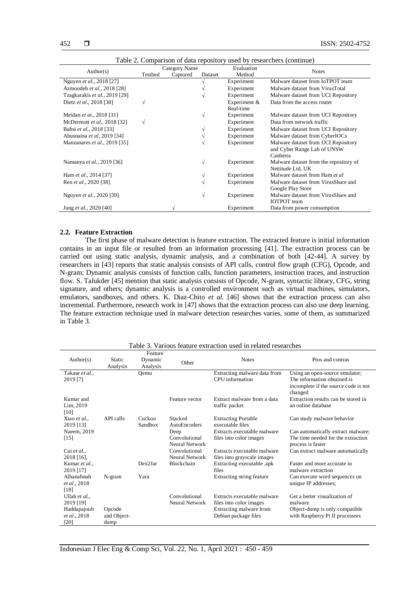| Table 2. Comparison of data repository ased by researchers (continue) |               |                     |   |              |                                        |
|-----------------------------------------------------------------------|---------------|---------------------|---|--------------|----------------------------------------|
| Author(s)                                                             | Category Name |                     |   | Evaluation   | <b>Notes</b>                           |
|                                                                       | Testbed       | Captured<br>Dataset |   | Method       |                                        |
| Nguyen et al., 2018 [27]                                              |               |                     |   | Experiment   | Malware dataset from IoTPOT team       |
| Azmoodeh et al., 2018 [28]                                            |               |                     |   | Experiment   | Malware dataset from VirusTotal        |
| Tzagkarakis et al., 2019 [29]                                         |               |                     |   | Experiment   | Malware dataset from UCI Repository    |
| Dietz et al., 2018 [30]                                               | V             |                     |   | Experiment & | Data from the access router            |
|                                                                       |               |                     |   | Real-time    |                                        |
| Meidan et at., 2018 [31]                                              |               |                     | V | Experiment   | Malware dataset from UCI Repository    |
| McDermott et al., 2018 [32]                                           | $\sqrt{}$     |                     |   | Experiment   | Data from network traffic              |
| Bahsi et al., 2018 [33]                                               |               |                     |   | Experiment   | Malware dataset from UCI Repository    |
| Abusnaina et al, 2019 [34]                                            |               |                     |   | Experiment   | Malware dataset from CyberIOCs         |
| Manzanares et al., 2019 [35]                                          |               |                     | V | Experiment   | Malware dataset from UCI Repository    |
|                                                                       |               |                     |   |              | and Cyber Range Lab of UNSW            |
|                                                                       |               |                     |   |              | Canberra                               |
| Namanya et al., 2019 [36]                                             |               |                     | √ | Experiment   | Malware dataset from the repository of |
|                                                                       |               |                     |   |              | Nettitude Ltd, UK                      |
| Ham et al., 2014 [37]                                                 |               |                     | V | Experiment   | Malware dataset from Ham et al         |
| Ren et al., 2020 [38]                                                 |               |                     |   | Experiment   | Malware dataset from VirusShare and    |
|                                                                       |               |                     |   |              | Google Play Store                      |
| Nguyen et al., 2020 [39]                                              |               |                     | V | Experiment   | Malware dataset from VirusShare and    |
|                                                                       |               |                     |   |              | <b>IOTPOT</b> team                     |
| Jung et al., 2020 [40]                                                |               |                     |   | Experiment   | Data from power consumption            |

Table 2. Comparison of data repository used by researchers (continue)

#### **2.2. Feature Extraction**

The first phase of malware detection is feature extraction. The extracted feature is initial information contains in an input file or resulted from an information processing [41]. The extraction process can be carried out using static analysis, dynamic analysis, and a combination of both [42-44]. A survey by researchers in [43] reports that static analysis consists of API calls, control flow graph (CFG), Opcode, and N-gram; Dynamic analysis consists of function calls, function parameters, instruction traces, and instruction flow. S. Talukder [45] mention that static analysis consists of Opcode, N-gram, syntactic library, CFG, string signature, and others; dynamic analysis is a controlled environment such as virtual machines, simulators, emulators, sandboxes, and others. K. Diaz-Chito *et al.* [46] shows that the extraction process can also incremental. Furthermore, research work in [47] shows that the extraction process can also use deep learning. The feature extraction technique used in malware detection researches varies, some of them, as summarized in Table 3.

|                            |                    | Feature             |                                 |                                                            |                                                                                |
|----------------------------|--------------------|---------------------|---------------------------------|------------------------------------------------------------|--------------------------------------------------------------------------------|
| Author(s)                  | Static<br>Analysis | Dynamic<br>Analysis | Other                           | <b>Notes</b>                                               | Pros and contras                                                               |
| Takase et al               |                    | Oemu                |                                 | Extracting malware data from                               | Using an open-source emulator;                                                 |
| 2019 [7]                   |                    |                     |                                 | CPU information                                            | The information obtained is<br>incomplete if the source code is not<br>changed |
| Kumar and                  |                    |                     | Feature vector                  | Extract malware from a data                                | Extraction results can be stored in                                            |
| Lim, 2019<br>[10]          |                    |                     |                                 | traffic packet                                             | an online database                                                             |
| Xiao et al<br>2019 [13]    | API calls          | Cuckoo<br>Sandbox   | Stacked<br>AutoEncoders         | <b>Extracting Portable</b><br>executable files             | Can study malware behavior                                                     |
| Naeem, 2019                |                    |                     | Deep                            | Extracts executable malware                                | Can automatically extract malware;                                             |
| $[15]$                     |                    |                     | Convolutional<br>Neural Network | files into color images                                    | The time needed for the extraction<br>process is faster                        |
| Cui et al.,<br>2018 [16],  |                    |                     | Convolutional<br>Neural Network | Extracts executable malware<br>files into grayscale images | Can extract malware automatically                                              |
| Kumar et al.,<br>2019 [17] |                    | Dex2Jar             | <b>Blockchain</b>               | Extracting executable .apk<br>files                        | Faster and more accurate in<br>malware extraction                              |
| Alhanahnah<br>et al., 2018 | $N-gram$           | Yara                |                                 | Extracting string feature                                  | Can execute word sequences on<br>unique IP addresses;                          |
| $[18]$                     |                    |                     | Convolutional                   | Extracts executable malware                                | Get a better visualization of                                                  |
| Ullah et al<br>2019 [19]   |                    |                     | Neural Network                  | files into color images                                    | malware                                                                        |
| Haddapajouh                | Opcode             |                     |                                 | Extracting malware from                                    | Object-dump is only compatible                                                 |
| et al., 2018               | and Object-        |                     |                                 | Debian package files                                       | with Raspberry Pi II processors                                                |
| [20]                       | dump               |                     |                                 |                                                            |                                                                                |

Table 3. Various feature extraction used in related researches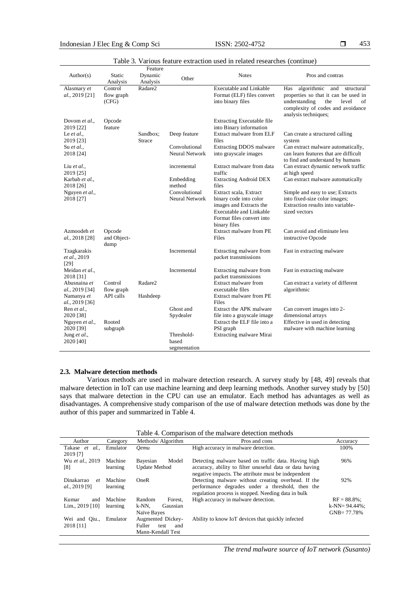| Author(s)                                                                            | Static<br>Analysis             | Feature<br>Dynamic<br>Analysis | Other                                           | <b>Notes</b>                                                                                                                                                 | Pros and contras                                                                                                                                                              |
|--------------------------------------------------------------------------------------|--------------------------------|--------------------------------|-------------------------------------------------|--------------------------------------------------------------------------------------------------------------------------------------------------------------|-------------------------------------------------------------------------------------------------------------------------------------------------------------------------------|
| Alasmary et<br>al., 2019 [21]                                                        | Control<br>flow graph<br>(CFG) | Radare2                        |                                                 | <b>Executable and Linkable</b><br>Format (ELF) files convert<br>into binary files                                                                            | algorithmic and structural<br>Has<br>properties so that it can be used in<br>understanding<br>the<br>level<br>of<br>complexity of codes and avoidance<br>analysis techniques; |
| Dovom et al.,<br>2019 [22]<br>Le $et al.$<br>2019 [23]<br>Su et al.,<br>2018 [24]    | Opcode<br>feature              | Sandbox:<br><b>Strace</b>      | Deep feature<br>Convolutional<br>Neural Network | <b>Extracting Executable file</b><br>into Binary information<br>Extract malware from ELF<br>files<br><b>Extracting DDOS</b> malware<br>into grayscale images | Can create a structured calling<br>system<br>Can extract malware automatically,<br>can learn features that are difficult                                                      |
| Liu et al.,<br>2019 [25]<br>Karbab et al.,<br>2018 [26]                              |                                |                                | incremental<br>Embedding<br>method              | Extract malware from data<br>traffic<br><b>Extracting Android DEX</b><br>files                                                                               | to find and understand by humans<br>Can extract dynamic network traffic<br>at high speed<br>Can extract malware automatically                                                 |
| Nguyen et al.,<br>2018 [27]                                                          |                                |                                | Convolutional<br>Neural Network                 | Extract scala, Extract<br>binary code into color<br>images and Extracts the<br><b>Executable and Linkable</b><br>Format files convert into<br>binary files   | Simple and easy to use; Extracts<br>into fixed-size color images;<br>Extraction results into variable-<br>sized vectors                                                       |
| Azmoodeh et<br>al., 2018 [28]<br>dump                                                | Opcode<br>and Object-          |                                |                                                 | Extract malware from PE<br>Files                                                                                                                             | Can avoid and eliminate less<br>instructive Opcode                                                                                                                            |
| Tzagkarakis<br>et al., 2019<br>$[29]$                                                |                                |                                | Incremental                                     | Extracting malware from<br>packet transmissions                                                                                                              | Fast in extracting malware                                                                                                                                                    |
| Meidan et al.,<br>2018 [31]                                                          |                                |                                | Incremental                                     | Extracting malware from<br>packet transmissions                                                                                                              | Fast in extracting malware                                                                                                                                                    |
| al., 2019 [34]<br>Namanya et<br>al., 2019 [36]                                       | flow graph<br>API calls        | Hashdeep                       |                                                 | executable files<br>Extract malware from PE<br>Files                                                                                                         | algorithmic                                                                                                                                                                   |
| Ren et al.,<br>2020 [38]<br>Nguyen et al.,<br>2020 [39]<br>Jung et al.,<br>2020 [40] | Rooted<br>subgraph             |                                | Ghost and<br>Spydealer<br>Threshold-<br>based   | Extract the APK malware<br>file into a grayscale image<br>Extract the ELF file into a<br>PSI graph<br>Extracting malware Mirai                               | Can convert images into 2-<br>dimensional arrays<br>Effective in used in detecting<br>malware with machine learning                                                           |
| Abusnaina et                                                                         | Control                        | Radare2                        | segmentation                                    | Extract malware from                                                                                                                                         | Can extract a variety of different                                                                                                                                            |

|  |  |  |  |  |  | Table 3. Various feature extraction used in related researches (continue) |  |
|--|--|--|--|--|--|---------------------------------------------------------------------------|--|
|--|--|--|--|--|--|---------------------------------------------------------------------------|--|

# **2.3. Malware detection methods**

Various methods are used in malware detection research. A survey study by [48, 49] reveals that malware detection in IoT can use machine learning and deep learning methods. Another survey study by [50] says that malware detection in the CPU can use an emulator. Each method has advantages as well as disadvantages. A comprehensive study comparison of the use of malware detection methods was done by the author of this paper and summarized in Table 4.

| Table 4. Comparison of the malware detection methods |          |                              |                                                          |                  |  |  |  |
|------------------------------------------------------|----------|------------------------------|----------------------------------------------------------|------------------|--|--|--|
| Author                                               | Category | Methods/ Algorithm           | Pros and cons                                            | Accuracy         |  |  |  |
| Takase et<br>al.                                     | Emulator | <b>Oemu</b>                  | High accuracy in malware detection.                      | 100%             |  |  |  |
| 2019 [7]                                             |          |                              |                                                          |                  |  |  |  |
| Wu et al., 2019                                      | Machine  | Model<br>Bayesian            | Detecting malware based on traffic data. Having high     | 96%              |  |  |  |
| [8]                                                  | learning | <b>Update Method</b>         | accuracy, ability to filter unuseful data or data having |                  |  |  |  |
|                                                      |          |                              | negative impacts. The attribute must be independent      |                  |  |  |  |
| Dinakarrao<br>$e$ t                                  | Machine  | OneR                         | Detecting malware without creating overhead. If the      | 92%              |  |  |  |
| <i>al.</i> , 2019 [9]                                | learning |                              | performance degrades under a threshold, then the         |                  |  |  |  |
|                                                      |          |                              | regulation process is stopped. Needing data in bulk      |                  |  |  |  |
| Kumar<br>and                                         | Machine  | Random<br>Forest.            | High accuracy in malware detection.                      | $RF = 88.8\%$    |  |  |  |
| Lim., $2019$ [10]                                    | learning | $k-NN$ .<br>Gaussian         |                                                          | $k-NN=94.44\%$ ; |  |  |  |
|                                                      |          | Naïve Bayes                  |                                                          | $GNB = 77.78%$   |  |  |  |
| Wei and Oiu.,                                        | Emulator | Augmented Dickey-            | Ability to know IoT devices that quickly infected        |                  |  |  |  |
| 2018 [11]                                            |          | <b>Fuller</b><br>test<br>and |                                                          |                  |  |  |  |
|                                                      |          | Mann-Kendall Test            |                                                          |                  |  |  |  |

*The trend malware source of IoT network (Susanto)*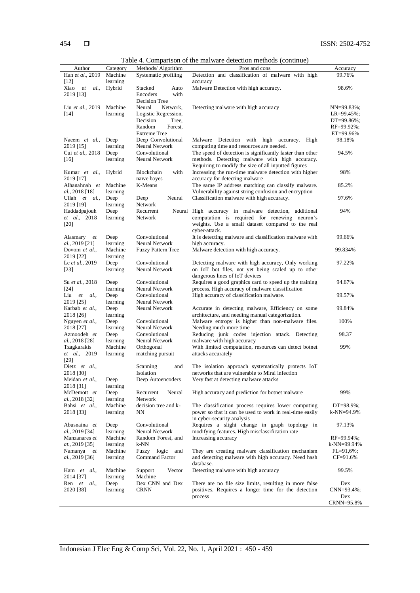|                           |          |                           | Table 4. Comparison of the marware detection methods (continue) |                  |
|---------------------------|----------|---------------------------|-----------------------------------------------------------------|------------------|
| Author                    | Category | Methods/ Algorithm        | Pros and cons                                                   | Accuracy         |
| Han et al., 2019          | Machine  | Systematic profiling      | Detection and classification of malware with high               | 99.76%           |
| [12]                      | learning |                           | accuracy                                                        |                  |
| Xiao<br>et<br>al.,        | Hybrid   | Stacked<br>Auto           | Malware Detection with high accuracy.                           | 98.6%            |
| 2019 [13]                 |          | Encoders<br>with          |                                                                 |                  |
|                           |          | Decision Tree             |                                                                 |                  |
| Liu et al., 2019          | Machine  | Neural<br>Network,        | Detecting malware with high accuracy                            | $NN=99.83\%$ ;   |
| [14]                      | learning | Logistic Regression,      |                                                                 | $LR = 99.45\%$ ; |
|                           |          | Decision<br>Tree,         |                                                                 | $DT=99.86\%;$    |
|                           |          | Random<br>Forest,         |                                                                 | RF=99.92%;       |
|                           |          | <b>Extreme Tree</b>       |                                                                 | ET=99.96%        |
| Naeem et al.,             | Deep     | Deep Convolutional        | Malware Detection with high accuracy. High                      | 98.18%           |
| 2019 [15]                 | learning | <b>Neural Network</b>     | computing time and resources are needed.                        |                  |
| Cui et al., 2018          | Deep     | Convolutional             | The speed of detection is significantly faster than other       | 94.5%            |
| $[16]$                    | learning | Neural Network            | methods. Detecting malware with high accuracy.                  |                  |
|                           |          |                           | Requiring to modify the size of all inputted figures            |                  |
| Kumar et al.,             | Hybrid   | with<br>Blockchain        | Increasing the run-time malware detection with higher           | 98%              |
| 2019 [17]                 |          | naïve bayes               | accuracy for detecting malware                                  |                  |
| Alhanahnah et             | Machine  | K-Means                   | The same IP address matching can classify malware.              | 85.2%            |
| <i>al.</i> , 2018 [18]    | learning |                           | Vulnerability against string confusion and encryption           |                  |
| Ullah $et \, al.,$        | Deep     | Neural<br>Deep            | Classification malware with high accuracy.                      | 97.6%            |
| 2019 [19]                 | learning | Network                   |                                                                 |                  |
| Haddadpajouh              | Deep     | Recurrent                 | Neural High accuracy in malware detection, additional           | 94%              |
| et al., 2018              | learning | Network                   | computation is required for renewing neuron's                   |                  |
| [20]                      |          |                           | weights. Use a small dataset compared to the real               |                  |
|                           |          |                           | cyber-attack.                                                   |                  |
| Alasmary et               | Deep     | Convolutional             | It is detecting malware and classification malware with         | 99.66%           |
| al., 2019 [21]            | learning | Neural Network            | high accuracy.                                                  |                  |
| Dovom et al.,             | Machine  | <b>Fuzzy Pattern Tree</b> | Malware detection with high accuracy.                           | 99.834%          |
| 2019 [22]                 | learning |                           |                                                                 |                  |
| Le et al., 2019           | Deep     | Convolutional             | Detecting malware with high accuracy, Only working              | 97.22%           |
| $[23]$                    | learning | Neural Network            | on IoT bot files, not yet being scaled up to other              |                  |
|                           |          |                           | dangerous lines of IoT devices                                  |                  |
| Su et al., 2018           |          | Convolutional             |                                                                 | 94.67%           |
|                           | Deep     | Neural Network            | Requires a good graphics card to speed up the training          |                  |
| $\lceil 24 \rceil$        | learning |                           | process. High accuracy of malware classification                |                  |
| Liu<br><i>al.</i> ,<br>et | Deep     | Convolutional             | High accuracy of classification malware.                        | 99.57%           |
| 2019 [25]                 | learning | Neural Network            |                                                                 |                  |
| Karbab et al.,            | Deep     | Neural Network            | Accurate in detecting malware, Efficiency on some               | 99.84%           |
| 2018 [26]                 | learning |                           | architecture, and needing manual categorization.                |                  |
| Nguyen et al.,            | Deep     | Convolutional             | Malware entropy is higher than non-malware files.               | 100%             |
| 2018 [27]                 | learning | Neural Network            | Needing much more time.                                         |                  |
| Azmoodeh et               | Deep     | Convolutional             | Reducing junk codes injection attack. Detecting                 | 98.37            |
| <i>al.</i> , 2018 [28]    | learning | Neural Network            | malware with high accuracy                                      |                  |
| Tzagkarakis               | Machine  | Orthogonal                | With limited computation, resources can detect botnet           | 99%              |
| et al., 2019              | learning | matching pursuit          | attacks accurately                                              |                  |
| [29]                      |          |                           |                                                                 |                  |
| Dietz et al.,             |          | Scanning<br>and           | The isolation approach systematically protects IoT              |                  |
| 2018 [30]                 |          | Isolation                 | networks that are vulnerable to Mirai infection                 |                  |
| Meidan et al.,            | Deep     | Deep Autoencoders         | Very fast at detecting malware attacks                          |                  |
| 2018 [31]                 | learning |                           |                                                                 |                  |
| McDemott et               | Deep     | Neural<br>Recurrent       | High accuracy and prediction for botnet malware                 | 99%              |
| <i>al.</i> , 2018 [32]    | learning | Network                   |                                                                 |                  |
| Bahsi et al.,             | Machine  | decision tree and k-      | The classification process requires lower computing             | $DT=98.9\%$ ;    |
| 2018 [33]                 | learning | NΝ                        | power so that it can be used to work in real-time easily        | k-NN=94.9%       |
|                           |          |                           | in cyber-security analysis                                      |                  |
| Abusnaina et              | Deep     | Convolutional             | Requires a slight change in graph topology in                   | 97.13%           |
| <i>al.,</i> 2019 [34]     | learning | Neural Network            | modifying features. High misclassification rate                 |                  |
| Manzanares et             | Machine  | Random Forest, and        | Increasing accuracy                                             | $RF=99.94\%$ ;   |
| at., 2019 [35]            | learning | k-NN                      |                                                                 | k-NN=99.94%      |
| Namanya et                | Machine  | Fuzzy logic and           | They are creating malware classification mechanism              | $FL=91,6%$ ;     |
| al., 2019 [36]            | learning | <b>Command Factor</b>     | and detecting malware with high accuracy. Need hash             | CF=91.6%         |
|                           |          |                           | database.                                                       |                  |
| Ham et al.,               | Machine  | Support<br>Vector         | Detecting malware with high accuracy                            | 99.5%            |
| 2014 [37]                 | learning | Machine                   |                                                                 |                  |
| Ren et al.,               | Deep     | Dex CNN and Dex           | There are no file size limits, resulting in more false          | Dex              |
| 2020 [38]                 | learning | <b>CRNN</b>               | positives. Requires a longer time for the detection             | CNN=93.4%;       |
|                           |          |                           | process                                                         | Dex              |
|                           |          |                           |                                                                 | CRNN=95.8%       |

Table 4. Comparison of the malware detection methods (continue)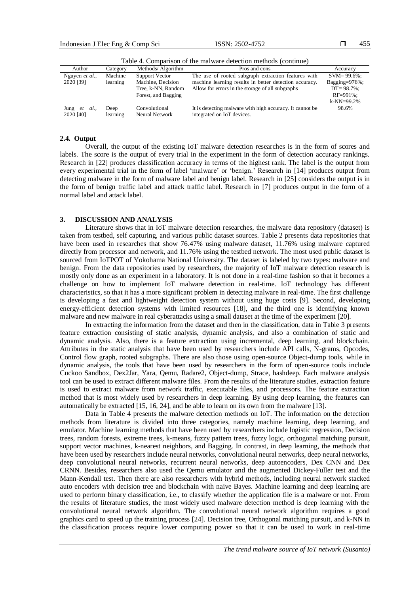| Accuracy           |
|--------------------|
| $SVM = 99.6\%$ :   |
| Bagging= $976\%$ ; |
| $DT = 98.7\%$ ;    |
| $RF = 991\%$ :     |
| $k$ -NN=99.2%      |
| 98.6%              |
|                    |
|                    |

Table 4. Comparison of the malware detection methods (continue)

# **2.4. Output**

Overall, the output of the existing IoT malware detection researches is in the form of scores and labels. The score is the output of every trial in the experiment in the form of detection accuracy rankings. Research in [22] produces classification accuracy in terms of the highest rank. The label is the output from every experimental trial in the form of label 'malware' or 'benign.' Research in [14] produces output from detecting malware in the form of malware label and benign label. Research in [25] considers the output is in the form of benign traffic label and attack traffic label. Research in [7] produces output in the form of a normal label and attack label.

### **3. DISCUSSION AND ANALYSIS**

Literature shows that in IoT malware detection researches, the malware data repository (dataset) is taken from testbed, self capturing, and various public dataset sources. Table 2 presents data repositories that have been used in researches that show 76.47% using malware dataset, 11.76% using malware captured directly from processor and network, and 11.76% using the testbed network. The most used public dataset is sourced from IoTPOT of Yokohama National University. The dataset is labeled by two types: malware and benign. From the data repositories used by researchers, the majority of IoT malware detection research is mostly only done as an experiment in a laboratory. It is not done in a real-time fashion so that it becomes a challenge on how to implement IoT malware detection in real-time. IoT technology has different characteristics, so that it has a more significant problem in detecting malware in real-time. The first challenge is developing a fast and lightweight detection system without using huge costs [9]. Second, developing energy-efficient detection systems with limited resources [18], and the third one is identifying known malware and new malware in real cyberattacks using a small dataset at the time of the experiment [20].

In extracting the information from the dataset and then in the classification, data in Table 3 presents feature extraction consisting of static analysis, dynamic analysis, and also a combination of static and dynamic analysis. Also, there is a feature extraction using incremental, deep learning, and blockchain. Attributes in the static analysis that have been used by researchers include API calls, N-grams, Opcodes, Control flow graph, rooted subgraphs. There are also those using open-source Object-dump tools, while in dynamic analysis, the tools that have been used by researchers in the form of open-source tools include Cuckoo Sandbox, Dex2Jar, Yara, Qemu, Radare2, Object-dump, Strace, hashdeep. Each malware analysis tool can be used to extract different malware files. From the results of the literature studies, extraction feature is used to extract malware from network traffic, executable files, and processors. The feature extraction method that is most widely used by researchers in deep learning. By using deep learning, the features can automatically be extracted [15, 16, 24], and be able to learn on its own from the malware [13].

Data in Table 4 presents the malware detection methods on IoT. The information on the detection methods from literature is divided into three categories, namely machine learning, deep learning, and emulator. Machine learning methods that have been used by researchers include logistic regression, Decision trees, random forests, extreme trees, k-means, fuzzy pattern trees, fuzzy logic, orthogonal matching pursuit, support vector machines, k-nearest neighbors, and Bagging. In contrast, in deep learning, the methods that have been used by researchers include neural networks, convolutional neural networks, deep neural networks, deep convolutional neural networks, recurrent neural networks, deep autoencoders, Dex CNN and Dex CRNN. Besides, researchers also used the Qemu emulator and the augmented Dickey-Fuller test and the Mann-Kendall test. Then there are also researchers with hybrid methods, including neural network stacked auto encoders with decision tree and blockchain with naive Bayes. Machine learning and deep learning are used to perform binary classification, i.e., to classify whether the application file is a malware or not. From the results of literature studies, the most widely used malware detection method is deep learning with the convolutional neural network algorithm. The convolutional neural network algorithm requires a good graphics card to speed up the training process [24]. Decision tree, Orthogonal matching pursuit, and k-NN in the classification process require lower computing power so that it can be used to work in real-time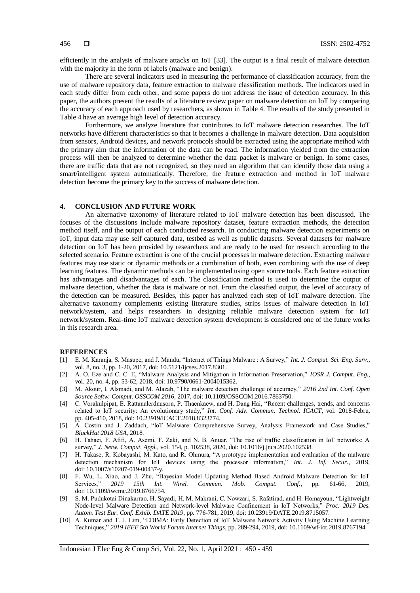efficiently in the analysis of malware attacks on IoT [33]. The output is a final result of malware detection with the majority in the form of labels (malware and benign).

There are several indicators used in measuring the performance of classification accuracy, from the use of malware repository data, feature extraction to malware classification methods. The indicators used in each study differ from each other, and some papers do not address the issue of detection accuracy. In this paper, the authors present the results of a literature review paper on malware detection on IoT by comparing the accuracy of each approach used by researchers, as shown in Table 4. The results of the study presented in Table 4 have an average high level of detection accuracy.

Furthermore, we analyze literature that contributes to IoT malware detection researches. The IoT networks have different characteristics so that it becomes a challenge in malware detection. Data acquisition from sensors, Android devices, and network protocols should be extracted using the appropriate method with the primary aim that the information of the data can be read. The information yielded from the extraction process will then be analyzed to determine whether the data packet is malware or benign. In some cases, there are traffic data that are not recognized, so they need an algorithm that can identify those data using a smart/intelligent system automatically. Therefore, the feature extraction and method in IoT malware detection become the primary key to the success of malware detection.

# **4. CONCLUSION AND FUTURE WORK**

An alternative taxonomy of literature related to IoT malware detection has been discussed. The focuses of the discussions include malware repository dataset, feature extraction methods, the detection method itself, and the output of each conducted research. In conducting malware detection experiments on IoT, input data may use self captured data, testbed as well as public datasets. Several datasets for malware detection on IoT has been provided by researchers and are ready to be used for research according to the selected scenario. Feature extraction is one of the crucial processes in malware detection. Extracting malware features may use static or dynamic methods or a combination of both, even combining with the use of deep learning features. The dynamic methods can be implemented using open source tools. Each feature extraction has advantages and disadvantages of each. The classification method is used to determine the output of malware detection, whether the data is malware or not. From the classified output, the level of accuracy of the detection can be measured. Besides, this paper has analyzed each step of IoT malware detection. The alternative taxonomy complements existing literature studies, strips issues of malware detection in IoT network/system, and helps researchers in designing reliable malware detection system for IoT network/system. Real-time IoT malware detection system development is considered one of the future works in this research area.

# **REFERENCES**

- [1] E. M. Karanja, S. Masupe, and J. Mandu, "Internet of Things Malware : A Survey," *Int. J. Comput. Sci. Eng. Surv.*, vol. 8, no. 3, pp. 1-20, 2017, doi: 10.5121/ijcses.2017.8301.
- [2] A. O. Eze and C. C. E, "Malware Analysis and Mitigation in Information Preservation," *IOSR J. Comput. Eng.*, vol. 20, no. 4, pp. 53-62, 2018, doi: 10.9790/0661-2004015362.
- [3] M. Akour, I. Alsmadi, and M. Alazab, "The malware detection challenge of accuracy," *2016 2nd Int. Conf. Open Source Softw. Comput. OSSCOM 2016*, 2017, doi: 10.1109/OSSCOM.2016.7863750.
- [4] C. Vorakulpipat, E. Rattanalerdnusorn, P. Thaenkaew, and H. Dang Hai, "Recent challenges, trends, and concerns related to IoT security: An evolutionary study," *Int. Conf. Adv. Commun. Technol. ICACT*, vol. 2018-Febru, pp. 405-410, 2018, doi: 10.23919/ICACT.2018.8323774.
- [5] A. Costin and J. Zaddach, "IoT Malware: Comprehensive Survey, Analysis Framework and Case Studies," *BlackHat 2018 USA*, 2018.
- [6] H. Tahaei, F. Afifi, A. Asemi, F. Zaki, and N. B. Anuar, "The rise of traffic classification in IoT networks: A survey," *J. Netw. Comput. Appl.*, vol. 154, p. 102538, 2020, doi: 10.1016/j.jnca.2020.102538.
- [7] H. Takase, R. Kobayashi, M. Kato, and R. Ohmura, "A prototype implementation and evaluation of the malware detection mechanism for IoT devices using the processor information," *Int. J. Inf. Secur.*, 2019, doi: 10.1007/s10207-019-00437-y.
- [8] F. Wu, L. Xiao, and J. Zhu, "Bayesian Model Updating Method Based Android Malware Detection for IoT Services," *2019 15th Int. Wirel. Commun. Mob. Comput. Conf.*, pp. 61-66, 2019, doi: 10.1109/iwcmc.2019.8766754.
- [9] S. M. Pudukotai Dinakarrao, H. Sayadi, H. M. Makrani, C. Nowzari, S. Rafatirad, and H. Homayoun, "Lightweight Node-level Malware Detection and Network-level Malware Confinement in IoT Networks," *Proc. 2019 Des. Autom. Test Eur. Conf. Exhib. DATE 2019*, pp. 776-781, 2019, doi: 10.23919/DATE.2019.8715057.
- [10] A. Kumar and T. J. Lim, "EDIMA: Early Detection of IoT Malware Network Activity Using Machine Learning Techniques," *2019 IEEE 5th World Forum Internet Things*, pp. 289-294, 2019, doi: 10.1109/wf-iot.2019.8767194.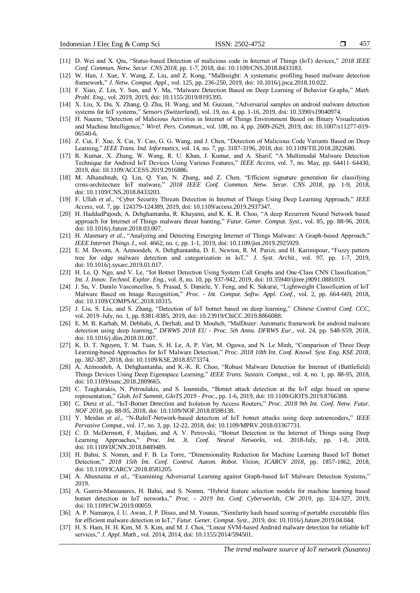- [11] D. Wei and X. Qiu, "Status-based Detection of malicious code in Internet of Things (IoT) devices," *2018 IEEE Conf. Commun. Netw. Secur. CNS 2018*, pp. 1-7, 2018, doi: 10.1109/CNS.2018.8433183.
- [12] W. Han, J. Xue, Y. Wang, Z. Liu, and Z. Kong, "MalInsight: A systematic profiling based malware detection framework," *J. Netw. Comput. Appl.*, vol. 125, pp. 236-250, 2019, doi: 10.1016/j.jnca.2018.10.022.
- [13] F. Xiao, Z. Lin, Y. Sun, and Y. Ma, "Malware Detection Based on Deep Learning of Behavior Graphs," *Math. Probl. Eng.*, vol. 2019, 2019, doi: 10.1155/2019/8195395.
- [14] X. Liu, X. Du, X. Zhang, Q. Zhu, H. Wang, and M. Guizani, "Adversarial samples on android malware detection systems for IoT systems," *Sensors (Switzerland)*, vol. 19, no. 4, pp. 1-16, 2019, doi: 10.3390/s19040974.
- [15] H. Naeem, "Detection of Malicious Activities in Internet of Things Environment Based on Binary Visualization and Machine Intelligence," *Wirel. Pers. Commun.*, vol. 108, no. 4, pp. 2609-2629, 2019, doi: 10.1007/s11277-019- 06540-6.
- [16] Z. Cui, F. Xue, X. Cai, Y. Cao, G. G. Wang, and J. Chen, "Detection of Malicious Code Variants Based on Deep Learning," *IEEE Trans. Ind. Informatics*, vol. 14, no. 7, pp. 3187-3196, 2018, doi: 10.1109/TII.2018.2822680.
- [17] R. Kumar, X. Zhang, W. Wang, R. U. Khan, J. Kumar, and A. Sharif, "A Multimodal Malware Detection Technique for Android IoT Devices Using Various Features," *IEEE Access*, vol. 7, no. May, pp. 64411–64430, 2019, doi: 10.1109/ACCESS.2019.2916886.
- [18] M. Alhanahnah, Q. Lin, Q. Yan, N. Zhang, and Z. Chen, "Efficient signature generation for classifying cross-architecture IoT malware," *2018 IEEE Conf. Commun. Netw. Secur. CNS 2018*, pp. 1-9, 2018, doi: 10.1109/CNS.2018.8433203.
- [19] F. Ullah *et al.*, "Cyber Security Threats Detection in Internet of Things Using Deep Learning Approach," *IEEE Access*, vol. 7, pp. 124379-124389, 2019, doi: 10.1109/access.2019.2937347.
- [20] H. HaddadPajouh, A. Dehghantanha, R. Khayami, and K. K. R. Choo, "A deep Recurrent Neural Network based approach for Internet of Things malware threat hunting," *Futur. Gener. Comput. Syst.*, vol. 85, pp. 88-96, 2018, doi: 10.1016/j.future.2018.03.007.
- [21] H. Alasmary et al., "Analyzing and Detecting Emerging Internet of Things Malware: A Graph-based Approach," *IEEE Internet Things J.*, vol. 4662, no. c, pp. 1-1, 2019, doi: 10.1109/jiot.2019.2925929.
- [22] E. M. Dovom, A. Azmoodeh, A. Dehghantanha, D. E. Newton, R. M. Parizi, and H. Karimipour, "Fuzzy pattern tree for edge malware detection and categorization in IoT," *J. Syst. Archit.*, vol. 97, pp. 1-7, 2019, doi: 10.1016/j.sysarc.2019.01.017.
- [23] H. Le, Q. Ngo, and V. Le, "Iot Botnet Detection Using System Call Graphs and One-Class CNN Classification," *Int. J. Innov. Technol. Explor. Eng.*, vol. 8, no. 10, pp. 937-942, 2019, doi: 10.35940/ijitee.j9091.0881019.
- [24] J. Su, V. Danilo Vasconcellos, S. Prasad, S. Daniele, Y. Feng, and K. Sakurai, "Lightweight Classification of IoT Malware Based on Image Recognition," *Proc. - Int. Comput. Softw. Appl. Conf.*, vol. 2, pp. 664-669, 2018, doi: 10.1109/COMPSAC.2018.10315.
- [25] J. Liu, S. Liu, and S. Zhang, "Detection of IoT botnet based on deep learning," *Chinese Control Conf. CCC*, vol. 2019–July, no. 1, pp. 8381-8385, 2019, doi: 10.23919/ChiCC.2019.8866088.
- [26] E. M. B. Karbab, M. Debbabi, A. Derhab, and D. Mouheb, "MalDozer: Automatic framework for android malware detection using deep learning," *DFRWS 2018 EU - Proc. 5th Annu. DFRWS Eur.*, vol. 24, pp. S48-S59, 2018, doi: 10.1016/j.diin.2018.01.007.
- [27] K. D. T. Nguyen, T. M. Tuan, S. H. Le, A. P. Viet, M. Ogawa, and N. Le Minh, "Comparison of Three Deep Learning-based Approaches for IoT Malware Detection," *Proc. 2018 10th Int. Conf. Knowl. Syst. Eng. KSE 2018*, pp. 382-387, 2018, doi: 10.1109/KSE.2018.8573374.
- [28] A. Azmoodeh, A. Dehghantanha, and K.-K. R. Choo, "Robust Malware Detection for Internet of (Battlefield) Things Devices Using Deep Eigenspace Learning," *IEEE Trans. Sustain. Comput.*, vol. 4, no. 1, pp. 88-95, 2018, doi: 10.1109/tsusc.2018.2809665.
- [29] C. Tzagkarakis, N. Petroulakis, and S. Ioannidis, "Botnet attack detection at the IoT edge based on sparse representation," *Glob. IoT Summit, GIoTS 2019 - Proc.*, pp. 1-6, 2019, doi: 10.1109/GIOTS.2019.8766388.
- [30] C. Dietz *et al.*, "IoT-Botnet Detection and Isolation by Access Routers," *Proc. 2018 9th Int. Conf. Netw. Futur. NOF 2018*, pp. 88-95, 2018, doi: 10.1109/NOF.2018.8598138.
- [31] Y. Meidan *et al.*, "N-BaIoT-Network-based detection of IoT botnet attacks using deep autoencoders," *IEEE Pervasive Comput.*, vol. 17, no. 3, pp. 12-22, 2018, doi: 10.1109/MPRV.2018.03367731.
- [32] C. D. McDermott, F. Majdani, and A. V. Petrovski, "Botnet Detection in the Internet of Things using Deep Learning Approaches," *Proc. Int. Jt. Conf. Neural Networks*, vol. 2018-July, pp. 1-8, 2018, doi: 10.1109/IJCNN.2018.8489489.
- [33] H. Bahsi, S. Nomm, and F. B. La Torre, "Dimensionality Reduction for Machine Learning Based IoT Botnet Detection," *2018 15th Int. Conf. Control. Autom. Robot. Vision, ICARCV 2018*, pp. 1857-1862, 2018, doi: 10.1109/ICARCV.2018.8581205.
- [34] A. Abusnaina *et al.*, "Examining Adversarial Learning against Graph-based IoT Malware Detection Systems," 2019.
- [35] A. Guerra-Manzanares, H. Bahsi, and S. Nomm, "Hybrid feature selection models for machine learning based botnet detection in IoT networks," *Proc. - 2019 Int. Conf. Cyberworlds, CW 2019*, pp. 324-327, 2019, doi: 10.1109/CW.2019.00059.
- [36] A. P. Namanya, I. U. Awan, J. P. Disso, and M. Younas, "Similarity hash based scoring of portable executable files for efficient malware detection in IoT," *Futur. Gener. Comput. Syst.*, 2019, doi: 10.1016/j.future.2019.04.044.
- [37] H. S. Ham, H. H. Kim, M. S. Kim, and M. J. Choi, "Linear SVM-based Android malware detection for reliable IoT services," *J. Appl. Math.*, vol. 2014, 2014, doi: 10.1155/2014/594501.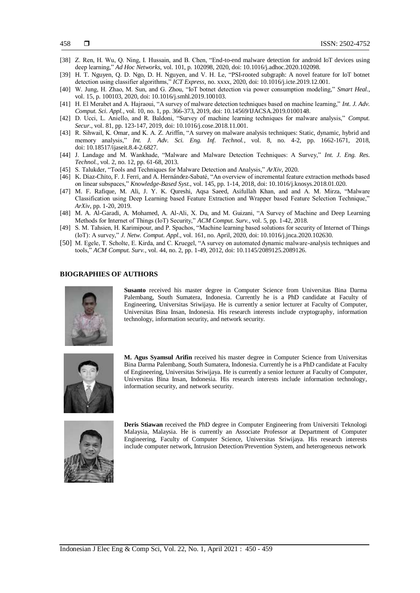- [38] Z. Ren, H. Wu, Q. Ning, I. Hussain, and B. Chen, "End-to-end malware detection for android IoT devices using deep learning," *Ad Hoc Networks*, vol. 101, p. 102098, 2020, doi: 10.1016/j.adhoc.2020.102098.
- [39] H. T. Nguyen, Q. D. Ngo, D. H. Nguyen, and V. H. Le, "PSI-rooted subgraph: A novel feature for IoT botnet detection using classifier algorithms," *ICT Express*, no. xxxx, 2020, doi: 10.1016/j.icte.2019.12.001.
- [40] W. Jung, H. Zhao, M. Sun, and G. Zhou, "IoT botnet detection via power consumption modeling," *Smart Heal.*, vol. 15, p. 100103, 2020, doi: 10.1016/j.smhl.2019.100103.
- [41] H. El Merabet and A. Hajraoui, "A survey of malware detection techniques based on machine learning," *Int. J. Adv. Comput. Sci. Appl.*, vol. 10, no. 1, pp. 366-373, 2019, doi: 10.14569/IJACSA.2019.0100148.
- [42] D. Ucci, L. Aniello, and R. Baldoni, "Survey of machine learning techniques for malware analysis," *Comput. Secur.*, vol. 81, pp. 123-147, 2019, doi: 10.1016/j.cose.2018.11.001.
- [43] R. Sihwail, K. Omar, and K. A. Z. Ariffin, "A survey on malware analysis techniques: Static, dynamic, hybrid and memory analysis," *Int. J. Adv. Sci. Eng. Inf. Technol.*, vol. 8, no. 4-2, pp. 1662-1671, 2018, doi: 10.18517/ijaseit.8.4-2.6827.
- [44] J. Landage and M. Wankhade, "Malware and Malware Detection Techniques: A Survey," *Int. J. Eng. Res. Technol.*, vol. 2, no. 12, pp. 61-68, 2013.
- [45] S. Talukder, "Tools and Techniques for Malware Detection and Analysis," *ArXiv*, 2020.
- [46] K. Diaz-Chito, F. J. Ferri, and A. Hernández-Sabaté, "An overview of incremental feature extraction methods based on linear subspaces," *Knowledge-Based Syst.*, vol. 145, pp. 1-14, 2018, doi: 10.1016/j.knosys.2018.01.020.
- [47] M. F. Rafique, M. Ali, J. Y. K. Qureshi, Aqsa Saeed, Asifullah Khan, and and A. M. Mirza, "Malware Classification using Deep Learning based Feature Extraction and Wrapper based Feature Selection Technique," *ArXiv*, pp. 1-20, 2019.
- [48] M. A. Al-Garadi, A. Mohamed, A. Al-Ali, X. Du, and M. Guizani, "A Survey of Machine and Deep Learning Methods for Internet of Things (IoT) Security," *ACM Comput. Surv.*, vol. 5, pp. 1-42, 2018.
- [49] S. M. Tahsien, H. Karimipour, and P. Spachos, "Machine learning based solutions for security of Internet of Things (IoT): A survey," *J. Netw. Comput. Appl.*, vol. 161, no. April, 2020, doi: 10.1016/j.jnca.2020.102630.
- [50] M. Egele, T. Scholte, E. Kirda, and C. Kruegel, "A survey on automated dynamic malware-analysis techniques and tools," *ACM Comput. Surv.*, vol. 44, no. 2, pp. 1-49, 2012, doi: 10.1145/2089125.2089126.

### **BIOGRAPHIES OF AUTHORS**



**Susanto** received his master degree in Computer Science from Universitas Bina Darma Palembang, South Sumatera, Indonesia. Currently he is a PhD candidate at Faculty of Engineering, Universitas Sriwijaya. He is currently a senior lecturer at Faculty of Computer, Universitas Bina Insan, Indonesia. His research interests include cryptography, information technology, information security, and network security.



**M. Agus Syamsul Arifin** received his master degree in Computer Science from Universitas Bina Darma Palembang, South Sumatera, Indonesia. Currently he is a PhD candidate at Faculty of Engineering, Universitas Sriwijaya. He is currently a senior lecturer at Faculty of Computer, Universitas Bina Insan, Indonesia. His research interests include information technology, information security, and network security.



**Deris Stiawan** received the PhD degree in Computer Engineering from Universiti Teknologi Malaysia, Malaysia. He is currently an Associate Professor at Department of Computer Engineering, Faculty of Computer Science, Universitas Sriwijaya. His research interests include computer network, Intrusion Detection/Prevention System, and heterogeneous network